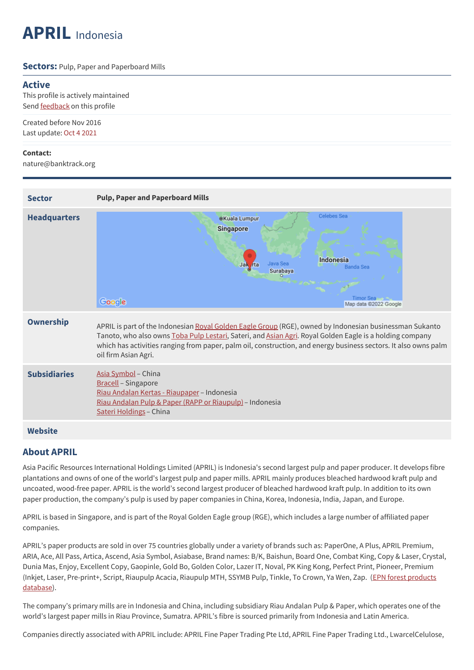# **APRIL** Indonesia

#### **Sectors:** Pulp, Paper and Paperboard Mills

### **Active**

This profile is actively maintained Send **[feedback](https://www.banktrack.org/feedback/companyprofile/april)** on this profile

Created before Nov 2016 Last update: Oct 4 2021

#### **Contact:**

nature@banktrack.org

| <b>Sector</b>       | <b>Pulp, Paper and Paperboard Mills</b>                                                                                                                                                                                                                                                                                                                        |
|---------------------|----------------------------------------------------------------------------------------------------------------------------------------------------------------------------------------------------------------------------------------------------------------------------------------------------------------------------------------------------------------|
| <b>Headquarters</b> | Celebes Sea<br>●Kuala Lumpur<br><b>Singapore</b><br>Indonesia<br>Java Sea<br>Jak<br><b><i>rta</i></b><br>Banda Sea<br>Surabaya<br>Timor Sea<br>Google<br>Map data @2022 Google                                                                                                                                                                                 |
| <b>Ownership</b>    | APRIL is part of the Indonesian Royal Golden Eagle Group (RGE), owned by Indonesian businessman Sukanto<br>Tanoto, who also owns Toba Pulp Lestari, Sateri, and Asian Agri. Royal Golden Eagle is a holding company<br>which has activities ranging from paper, palm oil, construction, and energy business sectors. It also owns palm<br>oil firm Asian Agri. |
| <b>Subsidiaries</b> | Asia Symbol - China<br><b>Bracell</b> - Singapore<br>Riau Andalan Kertas - Riaupaper - Indonesia<br>Riau Andalan Pulp & Paper (RAPP or Riaupulp) - Indonesia<br>Sateri Holdings - China                                                                                                                                                                        |
| <b>Website</b>      |                                                                                                                                                                                                                                                                                                                                                                |

## **About APRIL**

Asia Pacific Resources International Holdings Limited (APRIL) is Indonesia's second largest pulp and paper producer. It develops fibre plantations and owns of one of the world's largest pulp and paper mills. APRIL mainly produces bleached hardwood kraft pulp and uncoated, wood-free paper. APRIL is the world's second largest producer of bleached hardwood kraft pulp. In addition to its own paper production, the company's pulp is used by paper companies in China, Korea, Indonesia, India, Japan, and Europe.

APRIL is based in Singapore, and is part of the Royal Golden Eagle group (RGE), which includes a large number of affiliated paper companies.

APRIL's paper products are sold in over 75 countries globally under a variety of brands such as: PaperOne, A Plus, APRIL Premium, ARIA, Ace, All Pass, Artica, Ascend, Asia Symbol, Asiabase, Brand names: B/K, Baishun, Board One, Combat King, Copy & Laser, Crystal, Dunia Mas, Enjoy, Excellent Copy, Gaopinle, Gold Bo, Golden Color, Lazer IT, Noval, PK King Kong, Perfect Print, Pioneer, Premium (Inkjet, Laser, [Pre-print+,](http://ind-forestproducts.environmentalpaper.org) Script, Riaupulp Acacia, Riaupulp MTH, SSYMB Pulp, Tinkle, To Crown, Ya Wen, Zap. (EPN forest products database).

The company's primary mills are in Indonesia and China, including subsidiary Riau Andalan Pulp & Paper, which operates one of the world's largest paper mills in Riau Province, Sumatra. APRIL's fibre is sourced primarily from Indonesia and Latin America.

Companies directly associated with APRIL include: APRIL Fine Paper Trading Pte Ltd, APRIL Fine Paper Trading Ltd., LwarcelCelulose,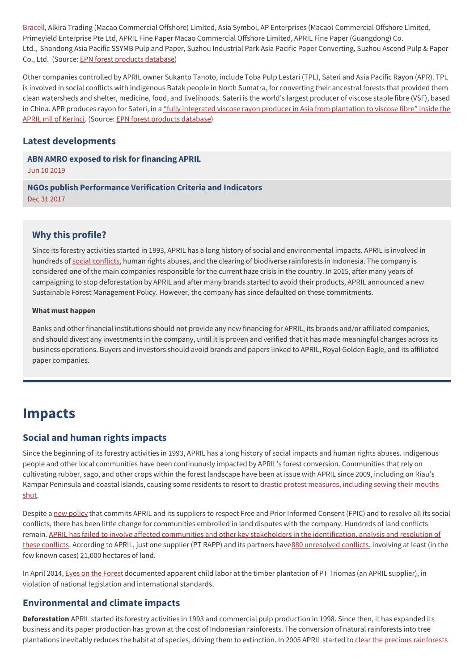[Bracell](https://www.banktrack.org/show/companyprofile/bracell), Alkira Trading (Macao Commercial Offshore) Limited, Asia Symbol, AP Enterprises (Macao) Commercial Offshore Limited, Primeyield Enterprise Pte Ltd, APRIL Fine Paper Macao Commercial Offshore Limited, APRIL Fine Paper (Guangdong) Co. Ltd., Shandong Asia Pacific SSYMB Pulp and Paper, Suzhou Industrial Park Asia Pacific Paper Converting, Suzhou Ascend Pulp & Paper Co., Ltd. (Source: EPN forest [products](http://ind-forestproducts.environmentalpaper.org) database)

Other companies controlled by APRIL owner Sukanto Tanoto, include Toba Pulp Lestari (TPL), Sateri and Asia Pacific Rayon (APR). TPL is involved in social conflicts with indigenous Batak people in North Sumatra, for converting their ancestral forests that provided them clean watersheds and shelter, medicine, food, and livelihoods. Sateri is the world's largest producer of viscose staple fibre (VSF), based in China. APR produces rayon for Sateri, in a "fully integrated viscose rayon producer in Asia from [plantation](https://www.aprayon.com/company/about-us/) to viscose fibre" inside the APRIL mll of Kerinci. (Source: EPN forest products [database](http://ind-forestproducts.environmentalpaper.org))

## **Latest developments**

**ABN AMRO exposed to risk for [financing](javascript:void(0)) APRIL** Jun 10 2019

**NGOs publish [Performance](javascript:void(0)) Verification Criteria and Indicators** Dec 31 2017

## **Why this profile?**

Since its forestry activities started in 1993, APRIL has a long history of social and environmental impacts. APRIL is involved in hundreds of social [conflicts](https://www.eyesontheforest.or.id/news/in-violation-of-government-policy-april-drains-peatlands-in-dispute-with-communities), human rights abuses, and the clearing of biodiverse rainforests in Indonesia. The company is considered one of the main companies responsible for the current haze crisis in the country. In 2015, after many years of campaigning to stop deforestation by APRIL and after many brands started to avoid their products, APRIL announced a new Sustainable Forest Management Policy. However, the company has since defaulted on these commitments.

#### **What must happen**

Banks and other financial institutions should not provide any new financing for APRIL, its brands and/or affiliated companies, and should divest any investments in the company, until it is proven and verified that it has made meaningful changes across its business operations. Buyers and investors should avoid brands and papers linked to APRIL, Royal Golden Eagle, and its affiliated paper companies.

## **Impacts**

## **Social and human rights impacts**

Since the beginning of its forestry activities in 1993, APRIL has a long history of social impacts and human rights abuses. Indigenous people and other local communities have been continuously impacted by APRIL's forest conversion. Communities that rely on cultivating rubber, sago, and other crops within the forest landscape have been at issue with APRIL since 2009, including on Riau's Kampar Peninsula and coastal islands, causing some residents to resort to drastic protest [measures,](http://blog.transparency.org/2011/11/28/a-silent-protest-in-pulau-padang/) including sewing their mouths shut.

Despite a new [policy](http://www.aprilasia.com/en/sustainability/sustainability-policy) that commits APRIL and its suppliers to respect Free and Prior Informed Consent (FPIC) and to resolve all its social conflicts, there has been little change for communities embroiled in land disputes with the company. Hundreds of land conflicts remain. APRIL has failed to involve affected communities and other key stakeholders in the [identification,](https://www.eyesontheforest.or.id/news/in-violation-of-government-policy-april-drains-peatlands-in-dispute-with-communities) analysis and resolution of these conflicts. According to APRIL, just one supplier (PT RAPP) and its partners have880 [unresolved](http://www.aprilasia.com/images/pdf_files/sr/APRIL%20SR%202017_Interactive.pdf) conflicts, involving at least (in the few known cases) 21,000 hectares of land.

In April 2014, Eyes on the [Forest](https://www.eyesontheforest.or.id/) documented apparent child labor at the timber plantation of PT Triomas (an APRIL supplier), in violation of national legislation and international standards.

## **Environmental and climate impacts**

**Deforestation** APRIL started its forestry activities in 1993 and commercial pulp production in 1998. Since then, it has expanded its business and its paper production has grown at the cost of Indonesian rainforests. The conversion of natural rainforests into tree [plantations](http://wwf.panda.org/wwf_news/?22231) inevitably reduces the habitat of species, driving them to extinction. In 2005 APRIL started to clear the precious rainforests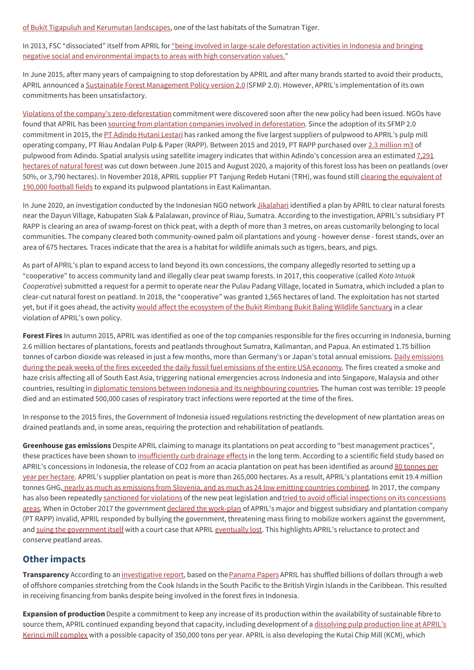of Bukit Tigapuluh and Kerumutan landscapes, one of the last habitats of the Sumatran Tiger.

In 2013, FSC "dissociated" itself from APRIL for "being involved in large-scale deforestation activities in Indonesia and bringing negative social and [environmental](https://ic.fsc.org/en/what-is-fsc/what-we-do/dispute-resolution/current-cases/asia-pacific-resources-international-april) impacts to areas with high conservation values."

In June 2015, after many years of campaigning to stop deforestation by APRIL and after many brands started to avoid their products, APRIL announced a Sustainable Forest [Management](http://www.aprilasia.com/images/pdf_files/20150603-sfmp-2-0-media-release.pdf) Policy version 2.0 (SFMP 2.0). However, APRIL's implementation of its own commitments has been unsatisfactory.

Violations of the company's [zero-deforestation](https://www.eyesontheforest.or.id/news/april-supplier-violates-new-forest-policy-peatland-forests-in-borneo-cleared-after-moratorium-issued) commitment were discovered soon after the new policy had been issued. NGOs have found that APRIL has been sourcing from plantation companies involved in [deforestation](https://auriga.or.id/app-and-april-violate-zero-deforestation-policies-with-wood-purchases-from-djarum-group-concessions-in-east-kalimantan/#). Since the adoption of its SFMP 2.0 commitment in 2015, the PT [Adindo](https://environmentalpaper.org/wp-content/uploads/2020/10/2020-10-06-Sustaining-Deforestation-APRIL-Adindo.pdf) Hutani Lestari has ranked among the five largest suppliers of pulpwood to APRIL's pulp mill operating company, PT Riau Andalan Pulp & Paper (RAPP). Between 2015 and 2019, PT RAPP purchased over 2.3 [million](https://environmentalpaper.org/wp-content/uploads/2020/10/2020-10-06-Sustaining-Deforestation-APRIL-Adindo.pdf) m3 of pulpwood from Adindo. Spatial analysis using satellite imagery indicates that within Adindo's [concession](https://environmentalpaper.org/wp-content/uploads/2020/10/2020-10-06-Sustaining-Deforestation-APRIL-Adindo.pdf) area an estimated  $7,291$ hectares of natural forest was cut down between June 2015 and August 2020, a majority of this forest loss has been on peatlands (over 50%, or 3,790 hectares). In November 2018, APRIL supplier PT Tanjung Redeb Hutani (TRH), was found still clearing the equivalent of 190,000 football fields to expand its pulpwood plantations in East [Kalimantan.](http://www.foresthints.news/april-supply-chain-still-tied-to-hcs-forest-clearing)

In June 2020, an investigation conducted by the Indonesian NGO network [Jikalahari](https://jikalahari.or.id/tentang-kami/anggota-jikalahari/) identified a plan by APRIL to clear natural forests near the Dayun Village, Kabupaten Siak & Palalawan, province of Riau, Sumatra. According to the investigation, APRIL's subsidiary PT RAPP is clearing an area of swamp-forest on thick peat, with a depth of more than 3 metres, on areas customarily belonging to local communities. The company cleared both community-owned palm oil plantations and young - however dense - forest stands, over an area of 675 hectares. Traces indicate that the area is a habitat for wildlife animals such as tigers, bears, and pigs.

As part of APRIL's plan to expand access to land beyond its own concessions, the company allegedly resorted to setting up a "cooperative" to access community land and illegally clear peat swamp forests. In 2017, this cooperative (called *Koto Intuok Cooperative*) submitted a request for a permit to operate near the Pulau Padang Village, located in Sumatra, which included a plan to clear-cut natural forest on peatland. In 2018, the "cooperative" was granted 1,565 hectares of land. The exploitation has not started yet, but if it goes ahead, the activity would affect the [ecosystem](https://environmentalpaper.org/wp-content/uploads/2020/09/APRIL-Illegal-Logging-draft-briefing-2020.pdf) of the Bukit Rimbang Bukit Baling Wildlife Sanctuary in a clear violation of APRIL's own policy.

**Forest Fires** In autumn 2015, APRIL was identified as one of the top companies responsible for the fires occurring in Indonesia, burning 2.6 million hectares of plantations, forests and peatlands throughout Sumatra, Kalimantan, and Papua. An estimated 1.75 billion tonnes of carbon dioxide was released in just a few months, more than [Germany's](http://www.globalfiredata.org/updates.html#2015_indonesia) or Japan's total annual emissions. Daily emissions during the peak weeks of the fires exceeded the daily fossil fuel emissions of the entire USA economy. The fires created a smoke and haze crisis affecting all of South East Asia, triggering national emergencies across Indonesia and into Singapore, Malaysia and other countries, resulting in diplomatic tensions between Indonesia and its [neighbouring](http://thediplomat.com/2015/10/the-trouble-with-indonesia-singapore-relations/) countries. The human cost was terrible: 19 people died and an estimated 500,000 cases of respiratory tract infections were reported at the time of the fires.

In response to the 2015 fires, the Government of Indonesia issued regulations restricting the development of new plantation areas on drained peatlands and, in some areas, requiring the protection and rehabilitation of peatlands.

**Greenhouse gas emissions** Despite APRIL claiming to manage its plantations on peat according to "best management practices", these practices have been shown to [insufficiently](https://www.wetlands.org/news/a-new-paper-rejects-claims-that-drain-%20age-of-peatlands-for-plantations-can-be-sustainable/) curb drainage effects in the long term. According to a scientific field study based on APRIL's [concessions](https://helda.helsinki.fi/bitstream/handle/10138/34598/Jauhiainen_%20etal_2012_bg_9_617_2012.pdf) in Indonesia, the release of CO2 from an acacia plantation on peat has been identified as around 80 tonnes per year per hectare. APRIL's supplier plantation on peat is more than 265,000 hectares. As a result, APRIL's plantations emit 19.4 million tonnes GHG, nearly as much as [emissions](http://environmentalpaper.org/wp-content/uploads/2017/09/Too-much-hot-air-20170426.pdf) from Slovenia, and as much as 24 low emitting countries combined. In 2017, the company has also been repeatedly [sanctioned](http://environmentalpaper.org/wp-content/uploads/2017/09/Too-much-hot-air-20170426.pdf) for violations of the new peat legislation and tried to avoid official inspections on its concessions areas. When in October 2017 the [government](https://www.eyesontheforest.or.id/news/in-violation-of-government-policy-april-drains-peatlands-in-dispute-with-communities) declared the [work-plan](https://www.reuters.com/article/us-indonesia-april/april-halts-indonesia-paper-unit-ops-as-forestry-permit-revoked-idUSKBN1CP0ST) of APRIL's major and biggest subsidiary and plantation company (PT RAPP) invalid, APRIL responded by bullying the government, threatening mass firing to mobilize workers against the government, and suing the [government](http://www.eco-business.com/news/pulp-and-paper-giant-challenges-indonesian-government-over-peat-protection-obligation/) itself with a court case that APRIL [eventually](https://www.eyesontheforest.or.id/news/government-wins-over-courtcase-against-pulp-giant-april) lost. This highlights APRIL's reluctance to protect and conserve peatland areas.

## **Other impacts**

**Transparency** According to an [investigative](https://www.icij.org/investigations/paradise-papers/leaked-records-reveal-offshores-role-in-forest-destruction/) report, based on the [Panama](https://www.icij.org/investigations/panama-papers/) Papers APRIL has shuffled billions of dollars through a web of offshore companies stretching from the Cook Islands in the South Pacific to the British Virgin Islands in the Caribbean. This resulted in receiving financing from banks despite being involved in the forest fires in Indonesia.

**Expansion of production** Despite a commitment to keep any increase of its production within the availability of sustainable fibre to source them, APRIL continued expanding beyond that capacity, including [development](https://industri.kontan.co.id/news/sateri-viscose-punya-pabrik-baru-di-riau%C2%A0) of a dissolving pulp production line at APRIL's Kerinci mill complex with a possible capacity of 350,000 tons per year. APRIL is also developing the Kutai Chip Mill (KCM), which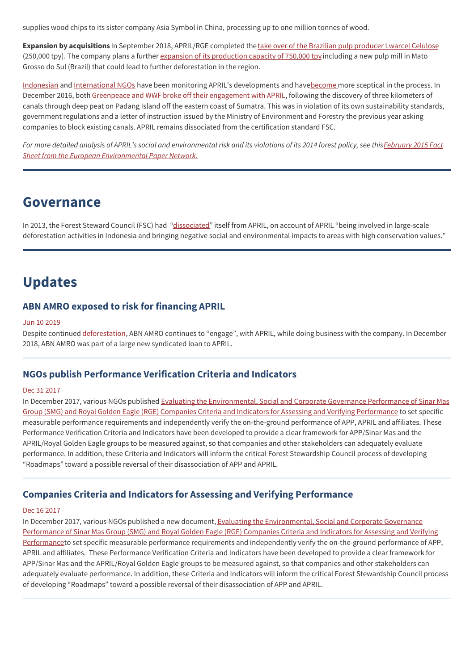supplies wood chips to its sister company Asia Symbol in China, processing up to one million tonnes of wood.

**Expansion by acquisitions** In September 2018, APRIL/RGE completed the take over of the Brazilian pulp [producer](https://www.euwid-paper.com/news/singlenews/Artikel/rge-completes-lwarcel-takeover.html) Lwarcel Celulose (250,000 tpy). The company plans a further expansion of its [production](https://www.valor.com.br/international/news/5795721/now-control-lwarcel-rge-prospects-deals-expand-capacity) capacity of 750,000 tpy including a new pulp mill in Mato Grosso do Sul (Brazil) that could lead to further deforestation in the region.

[Indonesian](https://www.eyesontheforest.or.id/files/download/e22f67dc58610ff) and [International](https://www.eyesontheforest.or.id/news/advisory-to-buyers-investors-of-rge--april-released) NGOs have been monitoring APRIL's developments and hav[ebecome](http://www.eyesontheforest.or.id/news/in-violation-of-government-policy-april-drains-peatlands-in-dispute-with-communities) more sceptical in the process. In December 2016, both Greenpeace and WWF broke off their [engagement](https://www.theguardian.com/sustainable-business/2016/dec/16/wwf-greenpeace-april-indonesia-peat-forest-canal-pulp-paper-industry) with APRIL, following the discovery of three kilometers of canals through deep peat on Padang Island off the eastern coast of Sumatra. This was in violation of its own sustainability standards, government regulations and a letter of instruction issued by the Ministry of Environment and Forestry the previous year asking companies to block existing canals. APRIL remains dissociated from the certification standard FSC.

For more detailed analysis of APRIL's social and environmental risk and its violations of its 2014 forest policy, see this February 2015 Fact *Sheet from the European [Environmental](https://environmentalpaper.org/wp-content/uploads/2015/02/APRIL-monitoring-factsheet-Feb-2015.pdf) Paper Network.*

## **Governance**

In 2013, the Forest Steward Council (FSC) had ["dissociated](https://ic.fsc.org/en/what-is-fsc/what-we-do/dispute-resolution/current-cases/asia-pacific-resources-international-april)" itself from APRIL, on account of APRIL "being involved in large-scale deforestation activities in Indonesia and bringing negative social and environmental impacts to areas with high conservation values."

## **Updates**

## **ABN AMRO exposed to risk for financing APRIL**

#### Jun 10 2019

Despite continued [deforestation](https://environmentalpaper.org/2019/06/abn-amro-exposed-to-risk-for-financing-april/), ABN AMRO continues to "engage", with APRIL, while doing business with the company. In December 2018, ABN AMRO was part of a large new syndicated loan to APRIL.

## **NGOs publish Performance Verification Criteria and Indicators**

#### Dec 31 2017

In December 2017, various NGOs published Evaluating the [Environmental,](https://www.wwf.or.id/en/?61822/Evaluating-the-Environmental-Social-and-Corporate-Governance-Performance-of-Sinar-Mas-Group-SMG-and-Royal-Golden-Eagle-RGE-Companies-Criteria-and-Indicators-for-Assessing-and-Verifying-Performance) Social and Corporate Governance Performance of Sinar Mas Group (SMG) and Royal Golden Eagle (RGE) Companies Criteria and Indicators for Assessing and Verifying Performance to set specific measurable performance requirements and independently verify the on-the-ground performance of APP, APRIL and affiliates. These Performance Verification Criteria and Indicators have been developed to provide a clear framework for APP/Sinar Mas and the APRIL/Royal Golden Eagle groups to be measured against, so that companies and other stakeholders can adequately evaluate performance. In addition, these Criteria and Indicators will inform the critical Forest Stewardship Council process of developing "Roadmaps" toward a possible reversal of their disassociation of APP and APRIL.

## **Companies Criteria and Indicators for Assessing and Verifying Performance**

#### Dec 16 2017

In December 2017, various NGOs published a new document, Evaluating the [Environmental,](https://www.wwf.or.id/en/?61822/Evaluating-the-Environmental-Social-and-Corporate-Governance-Performance-of-Sinar-Mas-Group-SMG-and-Royal-Golden-Eagle-RGE-Companies-Criteria-and-Indicators-for-Assessing-and-Verifying-Performance) Social and Corporate Governance Performance of Sinar Mas Group (SMG) and Royal Golden Eagle (RGE) Companies Criteria and Indicators for Assessing and Verifying Performanceto set specific measurable performance requirements and independently verify the on-the-ground performance of APP, APRIL and affiliates. These Performance Verification Criteria and Indicators have been developed to provide a clear framework for APP/Sinar Mas and the APRIL/Royal Golden Eagle groups to be measured against, so that companies and other stakeholders can adequately evaluate performance. In addition, these Criteria and Indicators will inform the critical Forest Stewardship Council process of developing "Roadmaps" toward a possible reversal of their disassociation of APP and APRIL.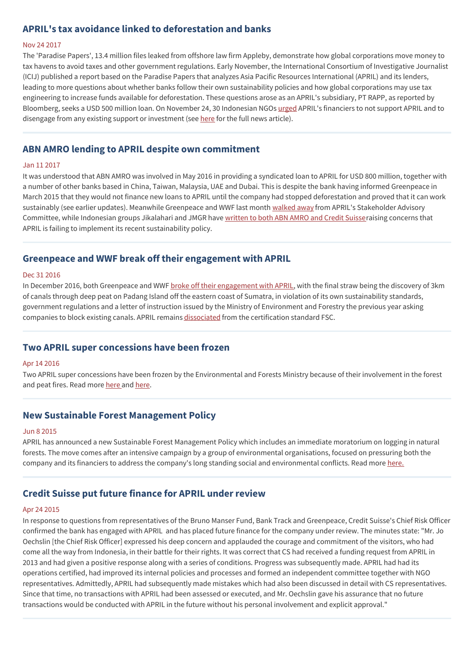## **APRIL's tax avoidance linked to deforestation and banks**

#### Nov 24 2017

The 'Paradise Papers', 13.4 million files leaked from offshore law firm Appleby, demonstrate how global corporations move money to tax havens to avoid taxes and other government regulations. Early November, the International Consortium of Investigative Journalist (ICIJ) published a report based on the Paradise Papers that analyzes Asia Pacific Resources International (APRIL) and its lenders, leading to more questions about whether banks follow their own sustainability policies and how global corporations may use tax engineering to increase funds available for deforestation. These questions arose as an APRIL's subsidiary, PT RAPP, as reported by Bloomberg, seeks a USD 500 million loan. On November 24, 30 Indonesian NGOs [urged](https://www.banktrack.org/download/letter_from_30_indonesian_ngos_to_pt_rapp_financiers_on_current_situation_of_pt_rapp_aprils_main_supplier/171124_letter_from_30_indonesian_ngos_to_rapp_financiers.pdf) APRIL's financiers to not support APRIL and to disengage from any existing support or investment (see [here](https://www.banktrack.org/news/the_chain_paradise_papers_links_april_s_tax_avoidance_to_deforestation_and_banks_could_impact_usd_500_million_loan#_) for the full news article).

## **ABN AMRO lending to APRIL despite own commitment**

#### Jan 11 2017

It was understood that ABN AMRO was involved in May 2016 in providing a syndicated loan to APRIL for USD 800 million, together with a number of other banks based in China, Taiwan, Malaysia, UAE and Dubai. This is despite the bank having informed Greenpeace in March 2015 that they would not finance new loans to APRIL until the company had stopped deforestation and proved that it can work sustainably (see earlier updates). Meanwhile Greenpeace and WWF last month [walked](https://www.theguardian.com/sustainable-business/2016/dec/16/wwf-greenpeace-april-indonesia-peat-forest-canal-pulp-paper-industry) away from APRIL's Stakeholder Advisory Committee, while Indonesian groups Jikalahari and JMGR have [written](http://www.environmentalpaper.eu/indonesian-civil-society-writes-to-banks-april-failing-to-implement-its-own-policy/) to both ABN AMRO and Credit Suisseraising concerns that APRIL is failing to implement its recent sustainability policy.

### **Greenpeace and WWF break off their engagement with APRIL**

#### Dec 31 2016

In December 2016, both Greenpeace and WWF broke off their [engagement](https://www.theguardian.com/sustainable-business/2016/dec/16/wwf-greenpeace-april-indonesia-peat-forest-canal-pulp-paper-industry) with APRIL, with the final straw being the discovery of 3km of canals through deep peat on Padang Island off the eastern coast of Sumatra, in violation of its own sustainability standards, government regulations and a letter of instruction issued by the Ministry of Environment and Forestry the previous year asking companies to block existing canals. APRIL remains [dissociated](https://ic.fsc.org/en/web-page-/asia-pacific-resources-international-april) from the certification standard FSC.

### **Two APRIL super concessions have been frozen**

#### Apr 14 2016

Two APRIL super concessions have been frozen by the Environmental and Forests Ministry because of their involvement in the forest and peat fires. Read more [here](http://www.foresthints.news/operations-of-another-april-supplier-suspended-over-forest-fires) and here.

## **New Sustainable Forest Management Policy**

#### Jun 8 2015

APRIL has announced a new Sustainable Forest Management Policy which includes an immediate moratorium on logging in natural forests. The move comes after an intensive campaign by a group of environmental organisations, focused on pressuring both the company and its financiers to address the company's long standing social and environmental conflicts. Read more [here.](https://www.banktrack.org/show/news/april_announces_new_sustainability_policy_after_campaign_pressure_on_its_financiers)

## **Credit Suisse put future finance for APRIL under review**

#### Apr 24 2015

In response to questions from representatives of the Bruno Manser Fund, Bank Track and Greenpeace, Credit Suisse's Chief Risk Officer confirmed the bank has engaged with APRIL and has placed future finance for the company under review. The minutes state: "Mr. Jo Oechslin [the Chief Risk Officer] expressed his deep concern and applauded the courage and commitment of the visitors, who had come all the way from Indonesia, in their battle for their rights. It was correct that CS had received a funding request from APRIL in 2013 and had given a positive response along with a series of conditions. Progress was subsequently made. APRIL had had its operations certified, had improved its internal policies and processes and formed an independent committee together with NGO representatives. Admittedly, APRIL had subsequently made mistakes which had also been discussed in detail with CS representatives. Since that time, no transactions with APRIL had been assessed or executed, and Mr. Oechslin gave his assurance that no future transactions would be conducted with APRIL in the future without his personal involvement and explicit approval."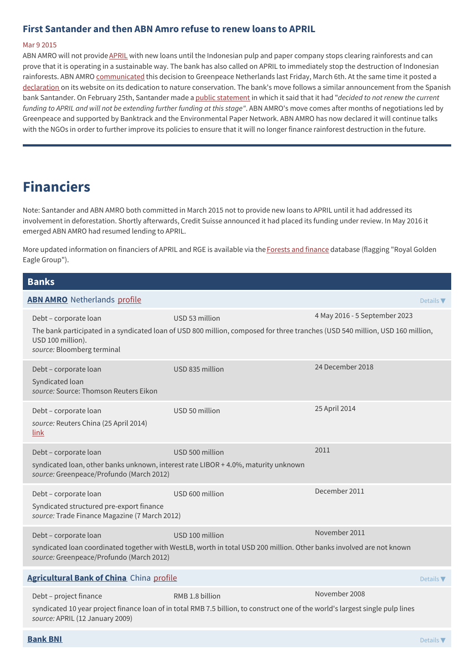## **First Santander and then ABN Amro refuse to renew loans to APRIL**

#### Mar 9 2015

ABN AMRO will not provide [APRIL](https://www.banktrack.org/show/companyprofiles/april) with new loans until the Indonesian pulp and paper company stops clearing rainforests and can prove that it is operating in a sustainable way. The bank has also called on APRIL to immediately stop the destruction of Indonesian rainforests. ABN AMRO [communicated](http://www.greenpeace.nl/2015/Nieuwsberichten/Bossen/ABN-AMRO-geeft-APRIL-een-rode-kaart/) this decision to Greenpeace Netherlands last Friday, March 6th. At the same time it posted a [declaration](https://www.abnamro.com/en/newsroom/newsarticles/abn-amro-is-dedicated-to-nature-conservation.html) on its website on its dedication to nature conservation. The bank's move follows a similar announcement from the Spanish bank Santander. On February 25th, Santander made a public [statement](http://www.santander.co.uk/uk/infodetail?p_p_id=W000_hidden_WAR_W000_hiddenportlet&p_p_lifecycle=1&p_p_state=normal&p_p_mode=view&p_p_col_id=column-2&p_p_col_pos=1&p_p_col_count=3&_W000_hidden_WAR_W000_hiddenportlet_cid=1324581216451&_W000_hidden_WAR_W000_hiddenportlet_tipo=SANContent&_W000_hidden_WAR_W000_hiddenportlet_javax.portlet.action=EventLauncherIdContentAction&_W000_hidden_WAR_W000_hiddenportlet_base.portlet.view=W014InformationsGrouperInitView) in which it said that it had "*decided to not renew the current funding to APRIL and will not be extending further funding at this stage"*. ABN AMRO's move comes after months of negotiations led by Greenpeace and supported by Banktrack and the Environmental Paper Network. ABN AMRO has now declared it will continue talks with the NGOs in order to further improve its policies to ensure that it will no longer finance rainforest destruction in the future.

## **Financiers**

Note: Santander and ABN AMRO both committed in March 2015 not to provide new loans to APRIL until it had addressed its involvement in deforestation. Shortly afterwards, Credit Suisse announced it had placed its funding under review. In May 2016 it emerged ABN AMRO had resumed lending to APRIL.

More updated information on financiers of APRIL and RGE is available via the[Forests](https://forestsandfinance.org) and finance database (flagging "Royal Golden Eagle Group").

#### **Banks**

| <b>ABN AMRO</b> Netherlands profile                                                                                                                     |                                                                                                                                                   | Details $\nabla$              |
|---------------------------------------------------------------------------------------------------------------------------------------------------------|---------------------------------------------------------------------------------------------------------------------------------------------------|-------------------------------|
| Debt - corporate loan<br>USD 100 million).<br>source: Bloomberg terminal                                                                                | USD 53 million<br>The bank participated in a syndicated loan of USD 800 million, composed for three tranches (USD 540 million, USD 160 million,   | 4 May 2016 - 5 September 2023 |
| Debt - corporate loan<br>Syndicated loan<br>source: Source: Thomson Reuters Eikon                                                                       | USD 835 million                                                                                                                                   | 24 December 2018              |
| Debt - corporate loan<br>source: Reuters China (25 April 2014)<br>link                                                                                  | USD 50 million                                                                                                                                    | 25 April 2014                 |
| Debt - corporate loan<br>syndicated loan, other banks unknown, interest rate LIBOR + 4.0%, maturity unknown<br>source: Greenpeace/Profundo (March 2012) | USD 500 million                                                                                                                                   | 2011                          |
| Debt - corporate loan<br>Syndicated structured pre-export finance<br>source: Trade Finance Magazine (7 March 2012)                                      | USD 600 million                                                                                                                                   | December 2011                 |
| Debt - corporate loan<br>source: Greenpeace/Profundo (March 2012)                                                                                       | USD 100 million<br>syndicated loan coordinated together with WestLB, worth in total USD 200 million. Other banks involved are not known           | November 2011                 |
| Agricultural Bank of China China profile                                                                                                                |                                                                                                                                                   | Details $\nabla$              |
| Debt - project finance<br>source: APRIL (12 January 2009)                                                                                               | RMB 1.8 billion<br>syndicated 10 year project finance loan of in total RMB 7.5 billion, to construct one of the world's largest single pulp lines | November 2008                 |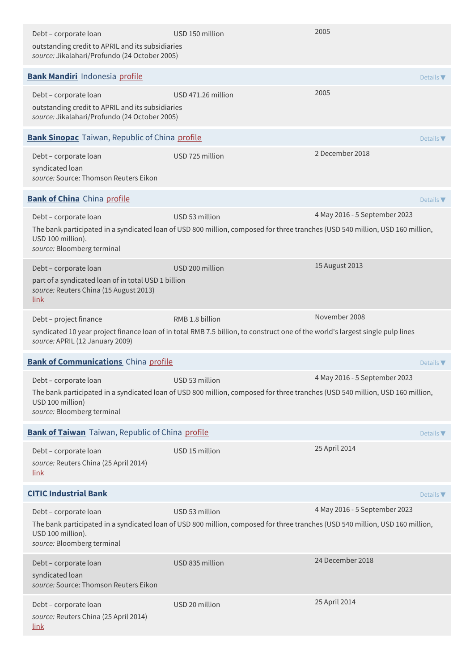| Debt - corporate loan<br>outstanding credit to APRIL and its subsidiaries<br>source: Jikalahari/Profundo (24 October 2005)     | USD 150 million                                                                                                                                   | 2005                          |                              |
|--------------------------------------------------------------------------------------------------------------------------------|---------------------------------------------------------------------------------------------------------------------------------------------------|-------------------------------|------------------------------|
| <b>Bank Mandiri</b> Indonesia profile                                                                                          |                                                                                                                                                   |                               | Details $\nabla$             |
| Debt - corporate loan<br>outstanding credit to APRIL and its subsidiaries<br>source: Jikalahari/Profundo (24 October 2005)     | USD 471.26 million                                                                                                                                | 2005                          |                              |
| <b>Bank Sinopac</b> Taiwan, Republic of China profile                                                                          |                                                                                                                                                   |                               | Details $\nabla$             |
| Debt - corporate loan<br>syndicated loan<br>source: Source: Thomson Reuters Eikon                                              | USD 725 million                                                                                                                                   | 2 December 2018               |                              |
| <b>Bank of China</b> China profile                                                                                             |                                                                                                                                                   |                               | Details $\nabla$             |
| Debt - corporate loan<br>USD 100 million).<br>source: Bloomberg terminal                                                       | USD 53 million<br>The bank participated in a syndicated loan of USD 800 million, composed for three tranches (USD 540 million, USD 160 million,   | 4 May 2016 - 5 September 2023 |                              |
| Debt - corporate loan<br>part of a syndicated loan of in total USD 1 billion<br>source: Reuters China (15 August 2013)<br>link | USD 200 million                                                                                                                                   | 15 August 2013                |                              |
| Debt - project finance<br>source: APRIL (12 January 2009)                                                                      | RMB 1.8 billion<br>syndicated 10 year project finance loan of in total RMB 7.5 billion, to construct one of the world's largest single pulp lines | November 2008                 |                              |
| <b>Bank of Communications</b> China profile                                                                                    |                                                                                                                                                   |                               | Details $\blacktriangledown$ |
| Debt - corporate loan<br>USD 100 million)<br>source: Bloomberg terminal                                                        | USD 53 million<br>The bank participated in a syndicated loan of USD 800 million, composed for three tranches (USD 540 million, USD 160 million,   | 4 May 2016 - 5 September 2023 |                              |
| <b>Bank of Taiwan</b> Taiwan, Republic of China profile                                                                        |                                                                                                                                                   |                               | Details $\nabla$             |
| Debt - corporate loan<br>source: Reuters China (25 April 2014)<br><u>link</u>                                                  | USD 15 million                                                                                                                                    | 25 April 2014                 |                              |
| <b>CITIC Industrial Bank</b>                                                                                                   |                                                                                                                                                   |                               | Details $\blacktriangledown$ |
| Debt - corporate loan<br>USD 100 million).<br>source: Bloomberg terminal                                                       | USD 53 million<br>The bank participated in a syndicated loan of USD 800 million, composed for three tranches (USD 540 million, USD 160 million,   | 4 May 2016 - 5 September 2023 |                              |
| Debt - corporate loan<br>syndicated loan<br>source: Source: Thomson Reuters Eikon                                              | USD 835 million                                                                                                                                   | 24 December 2018              |                              |
| Debt - corporate loan<br>source: Reuters China (25 April 2014)<br><u>link</u>                                                  | USD 20 million                                                                                                                                    | 25 April 2014                 |                              |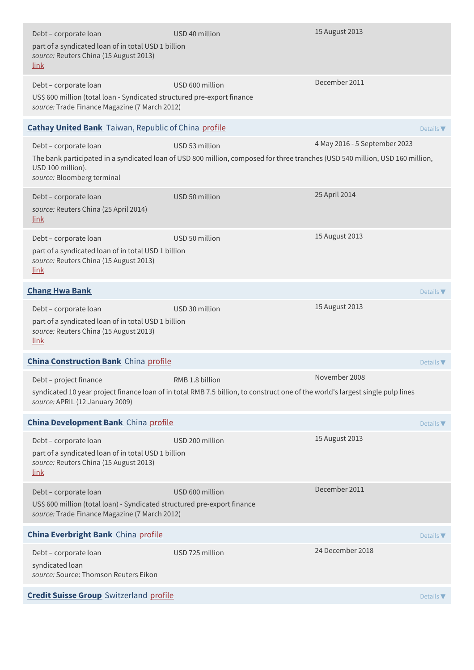| Debt - corporate loan<br>part of a syndicated loan of in total USD 1 billion<br>source: Reuters China (15 August 2013)<br><u>link</u>              | USD 40 million                                                                                                                                    | 15 August 2013                |                              |
|----------------------------------------------------------------------------------------------------------------------------------------------------|---------------------------------------------------------------------------------------------------------------------------------------------------|-------------------------------|------------------------------|
| Debt - corporate loan<br>US\$ 600 million (total loan - Syndicated structured pre-export finance<br>source: Trade Finance Magazine (7 March 2012)  | USD 600 million                                                                                                                                   | December 2011                 |                              |
| <b>Cathay United Bank</b> Taiwan, Republic of China profile                                                                                        |                                                                                                                                                   |                               | Details $\blacktriangledown$ |
| Debt - corporate loan                                                                                                                              | USD 53 million                                                                                                                                    | 4 May 2016 - 5 September 2023 |                              |
| USD 100 million).<br>source: Bloomberg terminal                                                                                                    | The bank participated in a syndicated loan of USD 800 million, composed for three tranches (USD 540 million, USD 160 million,                     |                               |                              |
| Debt - corporate loan<br>source: Reuters China (25 April 2014)<br><u>link</u>                                                                      | USD 50 million                                                                                                                                    | 25 April 2014                 |                              |
| Debt - corporate loan<br>part of a syndicated loan of in total USD 1 billion<br>source: Reuters China (15 August 2013)<br><u>link</u>              | USD 50 million                                                                                                                                    | 15 August 2013                |                              |
| <b>Chang Hwa Bank</b>                                                                                                                              |                                                                                                                                                   |                               | Details $\nabla$             |
| Debt - corporate loan<br>part of a syndicated loan of in total USD 1 billion<br>source: Reuters China (15 August 2013)<br><u>link</u>              | USD 30 million                                                                                                                                    | 15 August 2013                |                              |
| <b>China Construction Bank</b> China profile                                                                                                       |                                                                                                                                                   |                               | Details $\nabla$             |
| Debt - project finance<br>source: APRIL (12 January 2009)                                                                                          | RMB 1.8 billion<br>syndicated 10 year project finance loan of in total RMB 7.5 billion, to construct one of the world's largest single pulp lines | November 2008                 |                              |
| <b>China Development Bank</b> China profile                                                                                                        |                                                                                                                                                   |                               | Details $\nabla$             |
| Debt - corporate loan<br>part of a syndicated loan of in total USD 1 billion<br>source: Reuters China (15 August 2013)<br><u>link</u>              | USD 200 million                                                                                                                                   | 15 August 2013                |                              |
| Debt - corporate loan<br>US\$ 600 million (total loan) - Syndicated structured pre-export finance<br>source: Trade Finance Magazine (7 March 2012) | USD 600 million                                                                                                                                   | December 2011                 |                              |
| <b>China Everbright Bank</b> China profile                                                                                                         |                                                                                                                                                   |                               | Details $\nabla$             |
| Debt - corporate loan<br>syndicated loan<br>source: Source: Thomson Reuters Eikon                                                                  | USD 725 million                                                                                                                                   | 24 December 2018              |                              |
| <b>Credit Suisse Group</b> Switzerland profile                                                                                                     |                                                                                                                                                   |                               | Details $\blacktriangledown$ |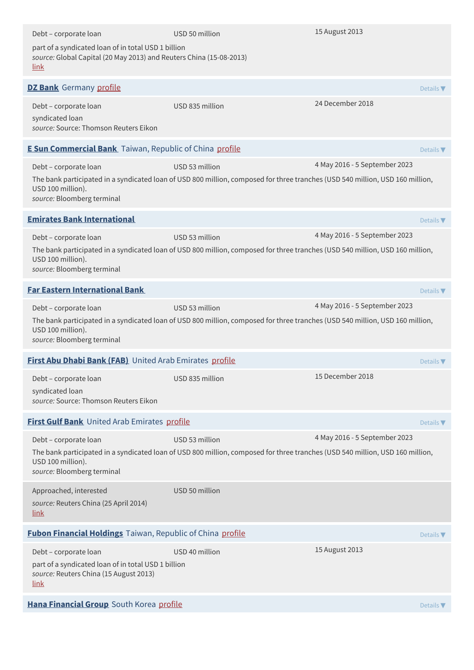| Debt - corporate loan                                                                                                                     | USD 50 million                                                                                                                                  | 15 August 2013                |                              |
|-------------------------------------------------------------------------------------------------------------------------------------------|-------------------------------------------------------------------------------------------------------------------------------------------------|-------------------------------|------------------------------|
| part of a syndicated loan of in total USD 1 billion<br>source: Global Capital (20 May 2013) and Reuters China (15-08-2013)<br><u>link</u> |                                                                                                                                                 |                               |                              |
| <b>DZ Bank</b> Germany profile                                                                                                            |                                                                                                                                                 |                               | Details $\nabla$             |
| Debt - corporate loan<br>syndicated loan<br>source: Source: Thomson Reuters Eikon                                                         | USD 835 million                                                                                                                                 | 24 December 2018              |                              |
| <b>E Sun Commercial Bank</b> Taiwan, Republic of China profile                                                                            |                                                                                                                                                 |                               | Details $\blacktriangledown$ |
| Debt - corporate loan<br>USD 100 million).<br>source: Bloomberg terminal                                                                  | USD 53 million<br>The bank participated in a syndicated loan of USD 800 million, composed for three tranches (USD 540 million, USD 160 million, | 4 May 2016 - 5 September 2023 |                              |
| <b>Emirates Bank International</b>                                                                                                        |                                                                                                                                                 |                               | Details $\nabla$             |
| Debt - corporate loan<br>USD 100 million).<br>source: Bloomberg terminal                                                                  | USD 53 million<br>The bank participated in a syndicated loan of USD 800 million, composed for three tranches (USD 540 million, USD 160 million, | 4 May 2016 - 5 September 2023 |                              |
| <b>Far Eastern International Bank</b>                                                                                                     |                                                                                                                                                 |                               | Details $\nabla$             |
| Debt - corporate loan<br>USD 100 million).<br>source: Bloomberg terminal                                                                  | USD 53 million<br>The bank participated in a syndicated loan of USD 800 million, composed for three tranches (USD 540 million, USD 160 million, | 4 May 2016 - 5 September 2023 |                              |
| First Abu Dhabi Bank (FAB) United Arab Emirates profile                                                                                   |                                                                                                                                                 |                               | Details $\nabla$             |
| Debt – corporate loan<br>syndicated loan<br>source: Source: Thomson Reuters Eikon                                                         | USD 835 million                                                                                                                                 | 15 December 2018              |                              |
| First Gulf Bank United Arab Emirates profile                                                                                              |                                                                                                                                                 |                               | Details $\nabla$             |
| Debt - corporate loan<br>USD 100 million).<br>source: Bloomberg terminal                                                                  | USD 53 million<br>The bank participated in a syndicated loan of USD 800 million, composed for three tranches (USD 540 million, USD 160 million, | 4 May 2016 - 5 September 2023 |                              |
| Approached, interested<br>source: Reuters China (25 April 2014)<br><u>link</u>                                                            | USD 50 million                                                                                                                                  |                               |                              |
| <b>Fubon Financial Holdings</b> Taiwan, Republic of China profile                                                                         |                                                                                                                                                 |                               | Details $\nabla$             |
| Debt - corporate loan<br>part of a syndicated loan of in total USD 1 billion<br>source: Reuters China (15 August 2013)<br><u>link</u>     | USD 40 million                                                                                                                                  | 15 August 2013                |                              |
| Hana Financial Group South Korea profile                                                                                                  |                                                                                                                                                 |                               | Details $\nabla$             |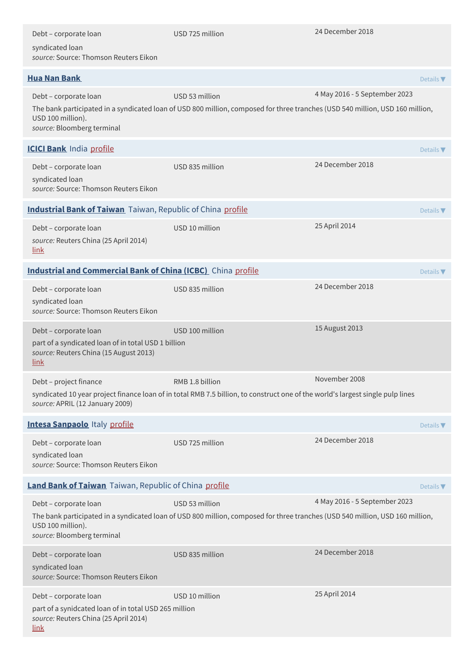| Debt - corporate loan<br>syndicated loan<br>source: Source: Thomson Reuters Eikon                                                      | USD 725 million                                                                                                                                 | 24 December 2018              |                              |
|----------------------------------------------------------------------------------------------------------------------------------------|-------------------------------------------------------------------------------------------------------------------------------------------------|-------------------------------|------------------------------|
|                                                                                                                                        |                                                                                                                                                 |                               |                              |
| <b>Hua Nan Bank</b>                                                                                                                    |                                                                                                                                                 |                               | Details $\blacktriangledown$ |
| Debt - corporate loan<br>USD 100 million).<br>source: Bloomberg terminal                                                               | USD 53 million<br>The bank participated in a syndicated loan of USD 800 million, composed for three tranches (USD 540 million, USD 160 million, | 4 May 2016 - 5 September 2023 |                              |
| <b>ICICI Bank</b> India profile                                                                                                        |                                                                                                                                                 |                               | Details $\blacktriangledown$ |
| Debt - corporate loan<br>syndicated loan<br>source: Source: Thomson Reuters Eikon                                                      | USD 835 million                                                                                                                                 | 24 December 2018              |                              |
| <b>Industrial Bank of Taiwan</b> Taiwan, Republic of China profile                                                                     |                                                                                                                                                 |                               | Details $\blacktriangledown$ |
| Debt - corporate loan<br>source: Reuters China (25 April 2014)<br><u>link</u>                                                          | USD 10 million                                                                                                                                  | 25 April 2014                 |                              |
| <b>Industrial and Commercial Bank of China (ICBC)</b> China profile                                                                    |                                                                                                                                                 |                               | Details $\nabla$             |
| Debt - corporate loan<br>syndicated loan<br>source: Source: Thomson Reuters Eikon                                                      | USD 835 million                                                                                                                                 | 24 December 2018              |                              |
| Debt - corporate loan<br>part of a syndicated loan of in total USD 1 billion<br>source: Reuters China (15 August 2013)<br><u>link</u>  | USD 100 million                                                                                                                                 | 15 August 2013                |                              |
| Debt - project finance                                                                                                                 | RMB 1.8 billion                                                                                                                                 | November 2008                 |                              |
| source: APRIL (12 January 2009)                                                                                                        | syndicated 10 year project finance loan of in total RMB 7.5 billion, to construct one of the world's largest single pulp lines                  |                               |                              |
| <b>Intesa Sanpaolo Italy profile</b>                                                                                                   |                                                                                                                                                 |                               | Details $\blacktriangledown$ |
| Debt - corporate loan<br>syndicated loan<br>source: Source: Thomson Reuters Eikon                                                      | USD 725 million                                                                                                                                 | 24 December 2018              |                              |
| Land Bank of Taiwan Taiwan, Republic of China profile                                                                                  |                                                                                                                                                 |                               | Details $\nabla$             |
| Debt - corporate loan<br>USD 100 million).<br>source: Bloomberg terminal                                                               | USD 53 million<br>The bank participated in a syndicated loan of USD 800 million, composed for three tranches (USD 540 million, USD 160 million, | 4 May 2016 - 5 September 2023 |                              |
| Debt - corporate loan<br>syndicated loan<br>source: Source: Thomson Reuters Eikon                                                      | USD 835 million                                                                                                                                 | 24 December 2018              |                              |
| Debt - corporate loan<br>part of a synidcated loan of in total USD 265 million<br>source: Reuters China (25 April 2014)<br><u>link</u> | USD 10 million                                                                                                                                  | 25 April 2014                 |                              |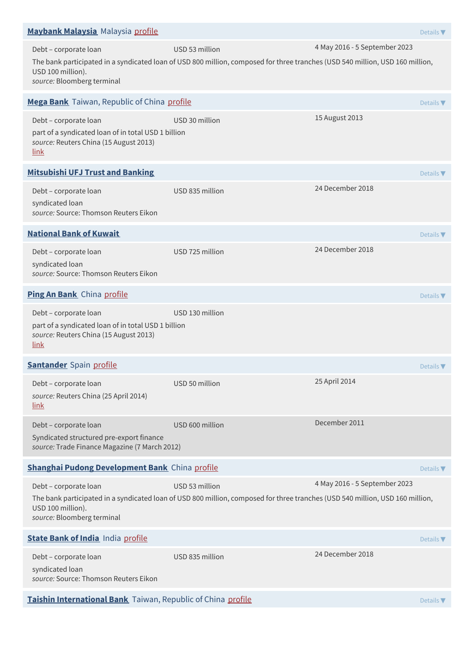| Maybank Malaysia Malaysia profile                                                                                              |                                                                                                                                                 |                               | Details $\blacktriangledown$ |
|--------------------------------------------------------------------------------------------------------------------------------|-------------------------------------------------------------------------------------------------------------------------------------------------|-------------------------------|------------------------------|
| Debt - corporate loan<br>USD 100 million).<br>source: Bloomberg terminal                                                       | USD 53 million<br>The bank participated in a syndicated loan of USD 800 million, composed for three tranches (USD 540 million, USD 160 million, | 4 May 2016 - 5 September 2023 |                              |
| Mega Bank Taiwan, Republic of China profile                                                                                    |                                                                                                                                                 |                               | Details $\nabla$             |
| Debt - corporate loan<br>part of a syndicated loan of in total USD 1 billion<br>source: Reuters China (15 August 2013)<br>link | USD 30 million                                                                                                                                  | 15 August 2013                |                              |
| <b>Mitsubishi UFJ Trust and Banking</b>                                                                                        |                                                                                                                                                 |                               | Details $\nabla$             |
| Debt - corporate loan<br>syndicated loan<br>source: Source: Thomson Reuters Eikon                                              | USD 835 million                                                                                                                                 | 24 December 2018              |                              |
| <b>National Bank of Kuwait</b>                                                                                                 |                                                                                                                                                 |                               | Details $\blacktriangledown$ |
| Debt - corporate loan<br>syndicated loan<br>source: Source: Thomson Reuters Eikon                                              | USD 725 million                                                                                                                                 | 24 December 2018              |                              |
| Ping An Bank China profile                                                                                                     |                                                                                                                                                 |                               | Details $\nabla$             |
| Debt - corporate loan<br>part of a syndicated loan of in total USD 1 billion<br>source: Reuters China (15 August 2013)<br>link | USD 130 million                                                                                                                                 |                               |                              |
| <b>Santander</b> Spain profile                                                                                                 |                                                                                                                                                 |                               | Details $\nabla$             |
| Debt - corporate loan<br>source: Reuters China (25 April 2014)<br><u>link</u>                                                  | USD 50 million                                                                                                                                  | 25 April 2014                 |                              |
| Debt - corporate loan<br>Syndicated structured pre-export finance<br>source: Trade Finance Magazine (7 March 2012)             | USD 600 million                                                                                                                                 | December 2011                 |                              |
| <b>Shanghai Pudong Development Bank</b> China profile                                                                          |                                                                                                                                                 |                               | Details $\nabla$             |
| Debt - corporate loan<br>USD 100 million).<br>source: Bloomberg terminal                                                       | USD 53 million<br>The bank participated in a syndicated loan of USD 800 million, composed for three tranches (USD 540 million, USD 160 million, | 4 May 2016 - 5 September 2023 |                              |
| <b>State Bank of India India profile</b>                                                                                       |                                                                                                                                                 |                               | Details $\nabla$             |
| Debt - corporate loan<br>syndicated loan<br>source: Source: Thomson Reuters Eikon                                              | USD 835 million                                                                                                                                 | 24 December 2018              |                              |
| Taishin International Bank Taiwan, Republic of China profile                                                                   |                                                                                                                                                 |                               | Details $\blacktriangledown$ |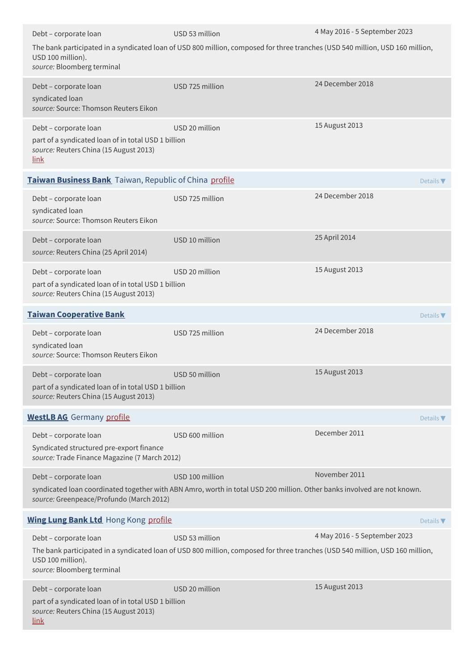| Debt - corporate loan                                                                                                                 | USD 53 million                                                                                                                                  | 4 May 2016 - 5 September 2023 |                              |
|---------------------------------------------------------------------------------------------------------------------------------------|-------------------------------------------------------------------------------------------------------------------------------------------------|-------------------------------|------------------------------|
| USD 100 million).<br>source: Bloomberg terminal                                                                                       | The bank participated in a syndicated loan of USD 800 million, composed for three tranches (USD 540 million, USD 160 million,                   |                               |                              |
| Debt - corporate loan<br>syndicated loan<br>source: Source: Thomson Reuters Eikon                                                     | USD 725 million                                                                                                                                 | 24 December 2018              |                              |
| Debt - corporate loan<br>part of a syndicated loan of in total USD 1 billion<br>source: Reuters China (15 August 2013)<br><u>link</u> | USD 20 million                                                                                                                                  | 15 August 2013                |                              |
| Taiwan Business Bank Taiwan, Republic of China profile                                                                                |                                                                                                                                                 |                               | Details $\blacktriangledown$ |
| Debt - corporate loan<br>syndicated loan<br>source: Source: Thomson Reuters Eikon                                                     | USD 725 million                                                                                                                                 | 24 December 2018              |                              |
| Debt - corporate loan<br>source: Reuters China (25 April 2014)                                                                        | USD 10 million                                                                                                                                  | 25 April 2014                 |                              |
| Debt - corporate loan<br>part of a syndicated loan of in total USD 1 billion<br>source: Reuters China (15 August 2013)                | USD 20 million                                                                                                                                  | 15 August 2013                |                              |
| <b>Taiwan Cooperative Bank</b>                                                                                                        |                                                                                                                                                 |                               | Details $\nabla$             |
| Debt - corporate loan<br>syndicated loan<br>source: Source: Thomson Reuters Eikon                                                     | USD 725 million                                                                                                                                 | 24 December 2018              |                              |
| Debt - corporate loan<br>part of a syndicated loan of in total USD 1 billion<br>source: Reuters China (15 August 2013)                | USD 50 million                                                                                                                                  | 15 August 2013                |                              |
| <b>WestLB AG</b> Germany profile                                                                                                      |                                                                                                                                                 |                               | Details $\blacktriangledown$ |
| Debt - corporate loan<br>Syndicated structured pre-export finance<br>source: Trade Finance Magazine (7 March 2012)                    | USD 600 million                                                                                                                                 | December 2011                 |                              |
| Debt - corporate loan                                                                                                                 | USD 100 million                                                                                                                                 | November 2011                 |                              |
| source: Greenpeace/Profundo (March 2012)                                                                                              | syndicated loan coordinated together with ABN Amro, worth in total USD 200 million. Other banks involved are not known.                         |                               |                              |
| <b>Wing Lung Bank Ltd Hong Kong profile</b>                                                                                           |                                                                                                                                                 |                               | Details $\nabla$             |
| Debt - corporate loan<br>USD 100 million).<br>source: Bloomberg terminal                                                              | USD 53 million<br>The bank participated in a syndicated loan of USD 800 million, composed for three tranches (USD 540 million, USD 160 million, | 4 May 2016 - 5 September 2023 |                              |
| Debt - corporate loan<br>part of a syndicated loan of in total USD 1 billion<br>source: Reuters China (15 August 2013)<br><u>link</u> | USD 20 million                                                                                                                                  | 15 August 2013                |                              |